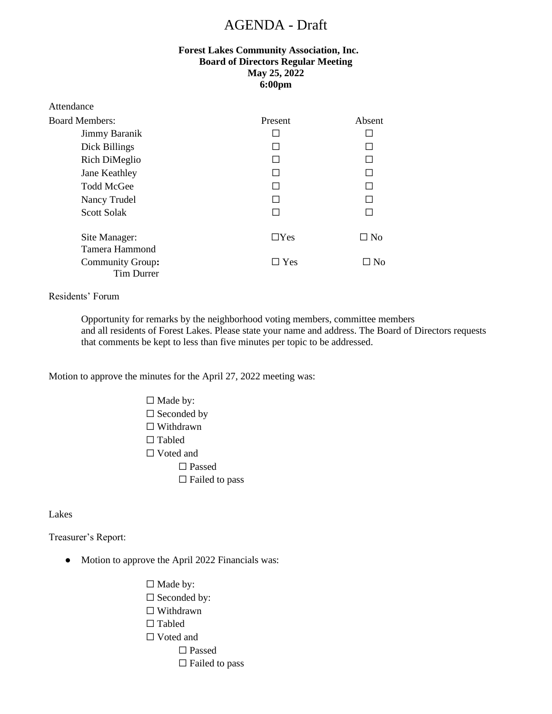# AGENDA - Draft

## **Forest Lakes Community Association, Inc. Board of Directors Regular Meeting May 25, 2022 6:00pm**

| Attendance            |            |           |
|-----------------------|------------|-----------|
| <b>Board Members:</b> | Present    | Absent    |
| Jimmy Baranik         |            |           |
| Dick Billings         |            |           |
| Rich DiMeglio         |            |           |
| Jane Keathley         |            |           |
| <b>Todd McGee</b>     |            |           |
| Nancy Trudel          |            |           |
| <b>Scott Solak</b>    |            |           |
| Site Manager:         | $\Box$ Yes | $\Box$ No |
| Tamera Hammond        |            |           |
| Community Group:      | $\Box$ Yes | $\Box$ No |
| Tim Durrer            |            |           |

#### Residents' Forum

Opportunity for remarks by the neighborhood voting members, committee members and all residents of Forest Lakes. Please state your name and address. The Board of Directors requests that comments be kept to less than five minutes per topic to be addressed.

Motion to approve the minutes for the April 27, 2022 meeting was:

□ Made by: □ Seconded by ☐ Withdrawn □ Tabled □ Voted and ☐ Passed  $\Box$  Failed to pass

Lakes

Treasurer's Report:

- Motion to approve the April 2022 Financials was:
	- □ Made by:
	- □ Seconded by:
	- ☐ Withdrawn
	- □ Tabled
	- □ Voted and
		- □ Passed
			- $\Box$  Failed to pass